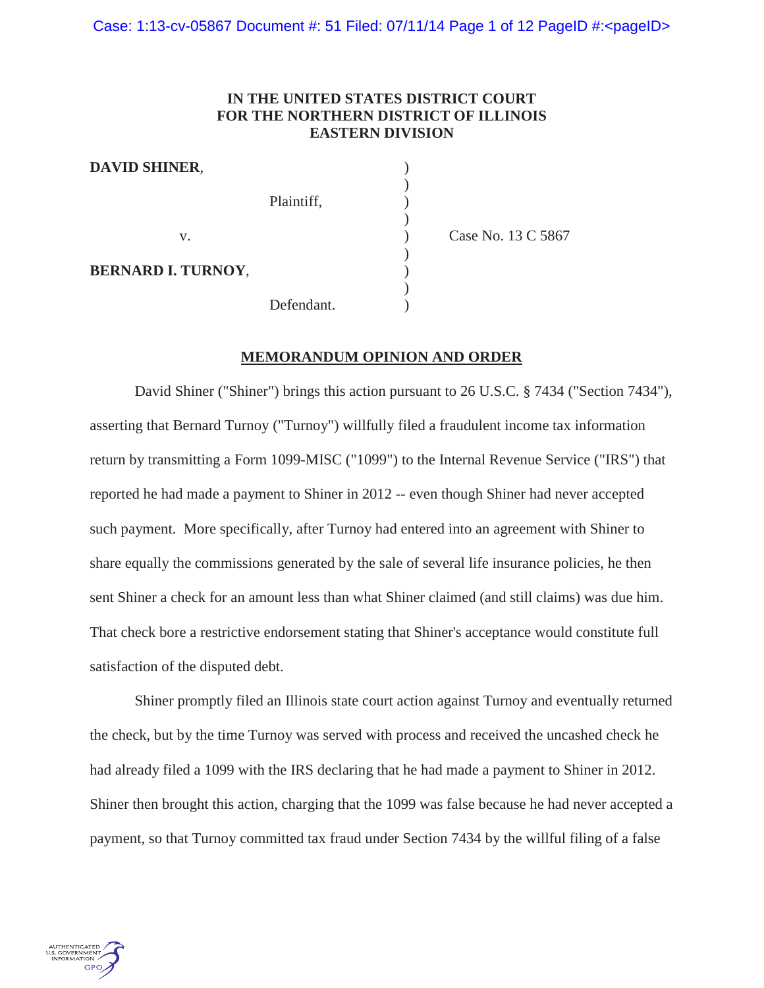# **IN THE UNITED STATES DISTRICT COURT FOR THE NORTHERN DISTRICT OF ILLINOIS EASTERN DIVISION**

)

)

)

**DAVID SHINER**, ) Plaintiff,  $\qquad \qquad$ ) v. **Case No. 13 C 5867 BERNARD I. TURNOY**, ) Defendant.

)

# **MEMORANDUM OPINION AND ORDER**

David Shiner ("Shiner") brings this action pursuant to 26 U.S.C. § 7434 ("Section 7434"), asserting that Bernard Turnoy ("Turnoy") willfully filed a fraudulent income tax information return by transmitting a Form 1099-MISC ("1099") to the Internal Revenue Service ("IRS") that reported he had made a payment to Shiner in 2012 -- even though Shiner had never accepted such payment. More specifically, after Turnoy had entered into an agreement with Shiner to share equally the commissions generated by the sale of several life insurance policies, he then sent Shiner a check for an amount less than what Shiner claimed (and still claims) was due him. That check bore a restrictive endorsement stating that Shiner's acceptance would constitute full satisfaction of the disputed debt.

Shiner promptly filed an Illinois state court action against Turnoy and eventually returned the check, but by the time Turnoy was served with process and received the uncashed check he had already filed a 1099 with the IRS declaring that he had made a payment to Shiner in 2012. Shiner then brought this action, charging that the 1099 was false because he had never accepted a payment, so that Turnoy committed tax fraud under Section 7434 by the willful filing of a false

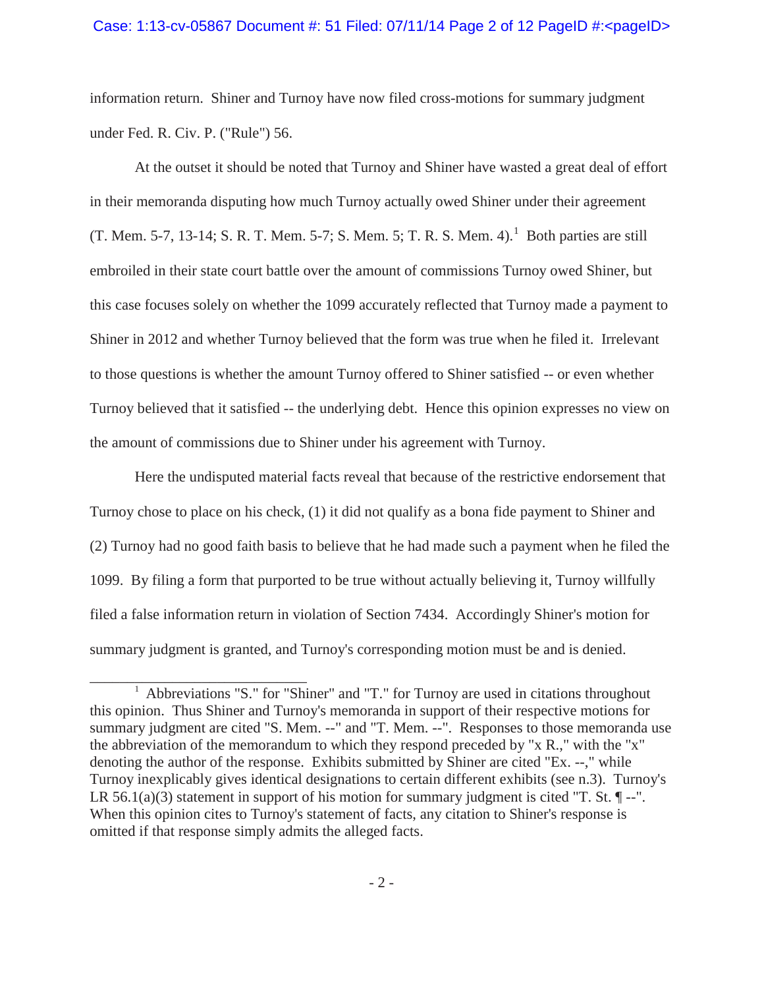### Case: 1:13-cv-05867 Document #: 51 Filed:  $07/11/14$  Page 2 of 12 PageID #:<pageID>

information return. Shiner and Turnoy have now filed cross-motions for summary judgment under Fed. R. Civ. P. ("Rule") 56.

At the outset it should be noted that Turnoy and Shiner have wasted a great deal of effort in their memoranda disputing how much Turnoy actually owed Shiner under their agreement (T. Mem. 5-7, 13-14; S. R. T. Mem. 5-7; S. Mem. 5; T. R. S. Mem. 4).<sup>1</sup> Both parties are still embroiled in their state court battle over the amount of commissions Turnoy owed Shiner, but this case focuses solely on whether the 1099 accurately reflected that Turnoy made a payment to Shiner in 2012 and whether Turnoy believed that the form was true when he filed it. Irrelevant to those questions is whether the amount Turnoy offered to Shiner satisfied -- or even whether Turnoy believed that it satisfied -- the underlying debt. Hence this opinion expresses no view on the amount of commissions due to Shiner under his agreement with Turnoy.

Here the undisputed material facts reveal that because of the restrictive endorsement that Turnoy chose to place on his check, (1) it did not qualify as a bona fide payment to Shiner and (2) Turnoy had no good faith basis to believe that he had made such a payment when he filed the 1099. By filing a form that purported to be true without actually believing it, Turnoy willfully filed a false information return in violation of Section 7434. Accordingly Shiner's motion for summary judgment is granted, and Turnoy's corresponding motion must be and is denied.

<sup>&</sup>lt;sup>1</sup> Abbreviations "S." for "Shiner" and "T." for Turnoy are used in citations throughout this opinion. Thus Shiner and Turnoy's memoranda in support of their respective motions for summary judgment are cited "S. Mem. --" and "T. Mem. --". Responses to those memoranda use the abbreviation of the memorandum to which they respond preceded by "x R.," with the "x" denoting the author of the response. Exhibits submitted by Shiner are cited "Ex. --," while Turnoy inexplicably gives identical designations to certain different exhibits (see n.3). Turnoy's LR 56.1(a)(3) statement in support of his motion for summary judgment is cited "T. St.  $\P$ --". When this opinion cites to Turnoy's statement of facts, any citation to Shiner's response is omitted if that response simply admits the alleged facts.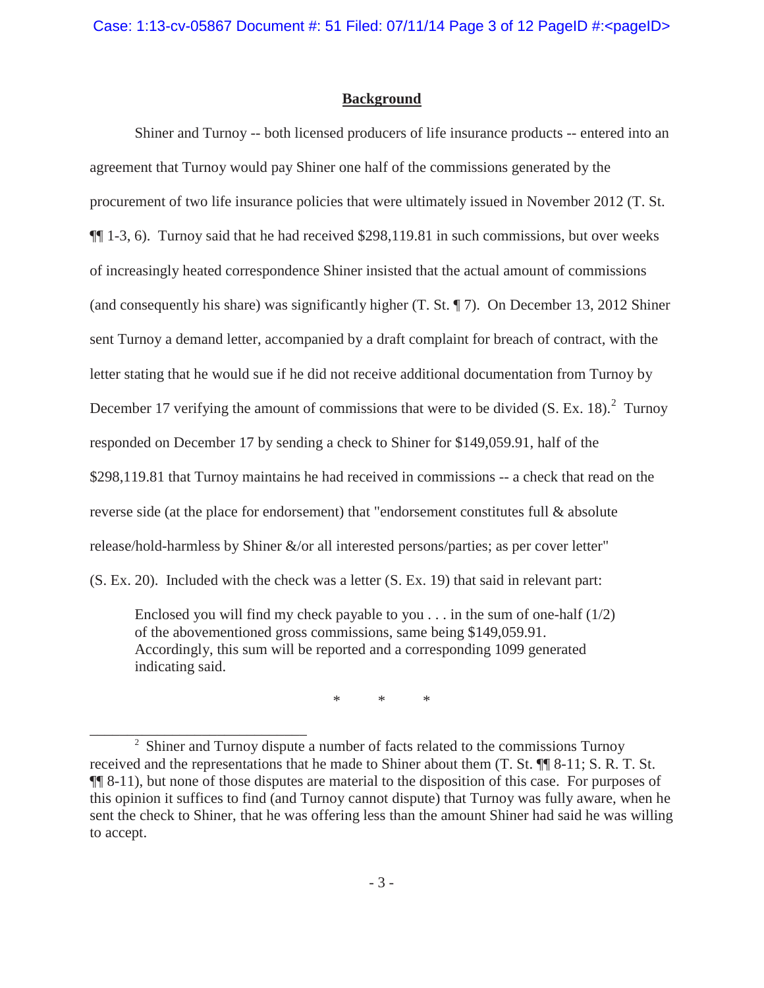# **Background**

Shiner and Turnoy -- both licensed producers of life insurance products -- entered into an agreement that Turnoy would pay Shiner one half of the commissions generated by the procurement of two life insurance policies that were ultimately issued in November 2012 (T. St. ¶¶ 1-3, 6). Turnoy said that he had received \$298,119.81 in such commissions, but over weeks of increasingly heated correspondence Shiner insisted that the actual amount of commissions (and consequently his share) was significantly higher (T. St. ¶ 7). On December 13, 2012 Shiner sent Turnoy a demand letter, accompanied by a draft complaint for breach of contract, with the letter stating that he would sue if he did not receive additional documentation from Turnoy by December 17 verifying the amount of commissions that were to be divided  $(S. Ex. 18)<sup>2</sup>$  Turnoy responded on December 17 by sending a check to Shiner for \$149,059.91, half of the \$298,119.81 that Turnoy maintains he had received in commissions -- a check that read on the reverse side (at the place for endorsement) that "endorsement constitutes full & absolute release/hold-harmless by Shiner &/or all interested persons/parties; as per cover letter" (S. Ex. 20). Included with the check was a letter (S. Ex. 19) that said in relevant part:

Enclosed you will find my check payable to you  $\dots$  in the sum of one-half (1/2) of the abovementioned gross commissions, same being \$149,059.91. Accordingly, this sum will be reported and a corresponding 1099 generated indicating said.

\* \* \*

<sup>&</sup>lt;sup>2</sup> Shiner and Turnoy dispute a number of facts related to the commissions Turnoy received and the representations that he made to Shiner about them (T. St. ¶¶ 8-11; S. R. T. St. ¶¶ 8-11), but none of those disputes are material to the disposition of this case. For purposes of this opinion it suffices to find (and Turnoy cannot dispute) that Turnoy was fully aware, when he sent the check to Shiner, that he was offering less than the amount Shiner had said he was willing to accept.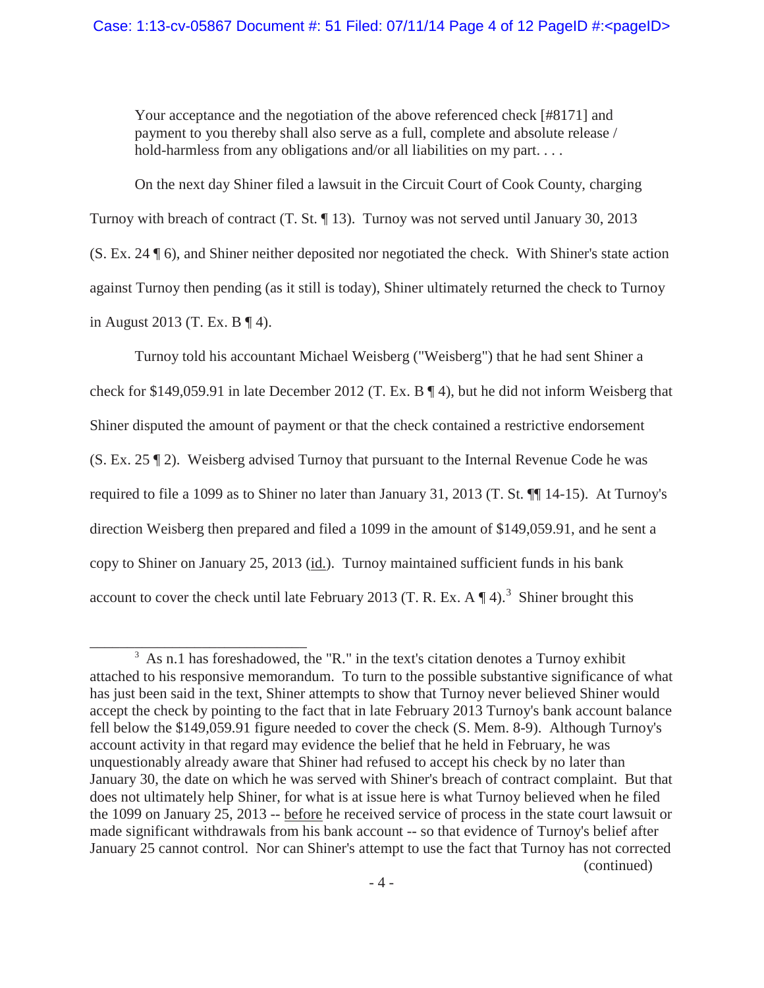Your acceptance and the negotiation of the above referenced check [#8171] and payment to you thereby shall also serve as a full, complete and absolute release / hold-harmless from any obligations and/or all liabilities on my part....

On the next day Shiner filed a lawsuit in the Circuit Court of Cook County, charging Turnoy with breach of contract (T. St. ¶ 13). Turnoy was not served until January 30, 2013 (S. Ex. 24 ¶ 6), and Shiner neither deposited nor negotiated the check. With Shiner's state action against Turnoy then pending (as it still is today), Shiner ultimately returned the check to Turnoy in August 2013 (T. Ex. B ¶ 4).

Turnoy told his accountant Michael Weisberg ("Weisberg") that he had sent Shiner a check for \$149,059.91 in late December 2012 (T. Ex. B ¶ 4), but he did not inform Weisberg that Shiner disputed the amount of payment or that the check contained a restrictive endorsement (S. Ex. 25 ¶ 2). Weisberg advised Turnoy that pursuant to the Internal Revenue Code he was required to file a 1099 as to Shiner no later than January 31, 2013 (T. St. ¶¶ 14-15). At Turnoy's direction Weisberg then prepared and filed a 1099 in the amount of \$149,059.91, and he sent a copy to Shiner on January 25, 2013 (id.). Turnoy maintained sufficient funds in his bank account to cover the check until late February 2013 (T. R. Ex. A  $\P$  4).<sup>3</sup> Shiner brought this

<sup>&</sup>lt;sup>3</sup> As n.1 has foreshadowed, the "R." in the text's citation denotes a Turnoy exhibit attached to his responsive memorandum. To turn to the possible substantive significance of what has just been said in the text, Shiner attempts to show that Turnoy never believed Shiner would accept the check by pointing to the fact that in late February 2013 Turnoy's bank account balance fell below the \$149,059.91 figure needed to cover the check (S. Mem. 8-9). Although Turnoy's account activity in that regard may evidence the belief that he held in February, he was unquestionably already aware that Shiner had refused to accept his check by no later than January 30, the date on which he was served with Shiner's breach of contract complaint. But that does not ultimately help Shiner, for what is at issue here is what Turnoy believed when he filed the 1099 on January 25, 2013 -- before he received service of process in the state court lawsuit or made significant withdrawals from his bank account -- so that evidence of Turnoy's belief after January 25 cannot control. Nor can Shiner's attempt to use the fact that Turnoy has not corrected (continued)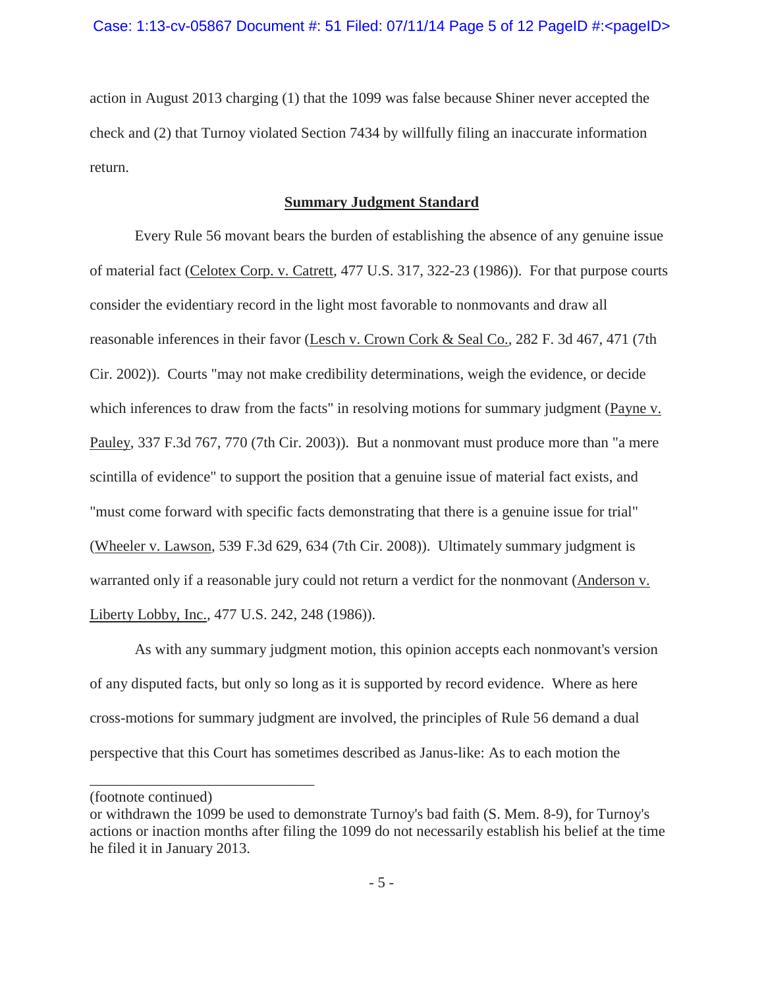action in August 2013 charging (1) that the 1099 was false because Shiner never accepted the check and (2) that Turnoy violated Section 7434 by willfully filing an inaccurate information return.

## **Summary Judgment Standard**

Every Rule 56 movant bears the burden of establishing the absence of any genuine issue of material fact (Celotex Corp. v. Catrett*,* 477 U.S. 317, 322-23 (1986)). For that purpose courts consider the evidentiary record in the light most favorable to nonmovants and draw all reasonable inferences in their favor (Lesch v. Crown Cork & Seal Co.*,* 282 F. 3d 467, 471 (7th Cir. 2002)). Courts "may not make credibility determinations, weigh the evidence, or decide which inferences to draw from the facts" in resolving motions for summary judgment (Payne v. Pauley, 337 F.3d 767, 770 (7th Cir. 2003)). But a nonmovant must produce more than "a mere scintilla of evidence" to support the position that a genuine issue of material fact exists, and "must come forward with specific facts demonstrating that there is a genuine issue for trial" (Wheeler v. Lawson*,* 539 F.3d 629, 634 (7th Cir. 2008)). Ultimately summary judgment is warranted only if a reasonable jury could not return a verdict for the nonmovant (Anderson v. Liberty Lobby, Inc.*,* 477 U.S. 242, 248 (1986)).

As with any summary judgment motion, this opinion accepts each nonmovant's version of any disputed facts, but only so long as it is supported by record evidence. Where as here cross-motions for summary judgment are involved, the principles of Rule 56 demand a dual perspective that this Court has sometimes described as Janus-like: As to each motion the

<sup>(</sup>footnote continued)

or withdrawn the 1099 be used to demonstrate Turnoy's bad faith (S. Mem. 8-9), for Turnoy's actions or inaction months after filing the 1099 do not necessarily establish his belief at the time he filed it in January 2013.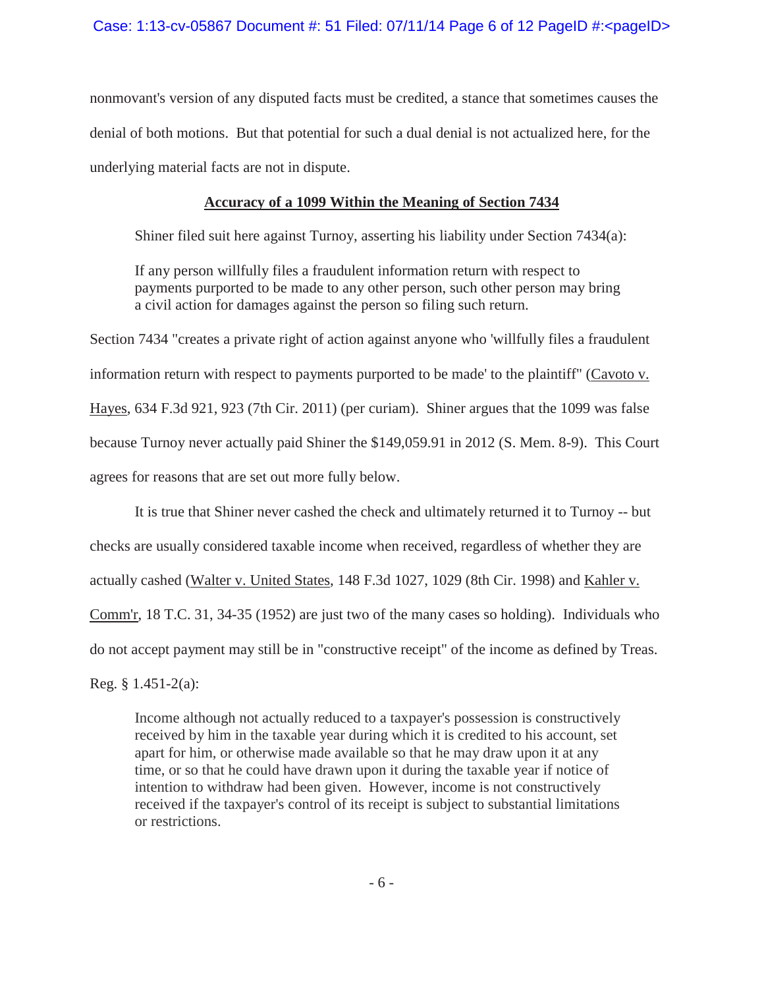nonmovant's version of any disputed facts must be credited, a stance that sometimes causes the denial of both motions. But that potential for such a dual denial is not actualized here, for the underlying material facts are not in dispute.

# **Accuracy of a 1099 Within the Meaning of Section 7434**

Shiner filed suit here against Turnoy, asserting his liability under Section 7434(a):

If any person willfully files a fraudulent information return with respect to payments purported to be made to any other person, such other person may bring a civil action for damages against the person so filing such return.

Section 7434 "creates a private right of action against anyone who 'willfully files a fraudulent information return with respect to payments purported to be made' to the plaintiff" (Cavoto v. Hayes, 634 F.3d 921, 923 (7th Cir. 2011) (per curiam). Shiner argues that the 1099 was false because Turnoy never actually paid Shiner the \$149,059.91 in 2012 (S. Mem. 8-9). This Court agrees for reasons that are set out more fully below.

It is true that Shiner never cashed the check and ultimately returned it to Turnoy -- but checks are usually considered taxable income when received, regardless of whether they are actually cashed (Walter v. United States, 148 F.3d 1027, 1029 (8th Cir. 1998) and Kahler v. Comm'r, 18 T.C. 31, 34-35 (1952) are just two of the many cases so holding). Individuals who do not accept payment may still be in "constructive receipt" of the income as defined by Treas.

Reg. § 1.451-2(a):

Income although not actually reduced to a taxpayer's possession is constructively received by him in the taxable year during which it is credited to his account, set apart for him, or otherwise made available so that he may draw upon it at any time, or so that he could have drawn upon it during the taxable year if notice of intention to withdraw had been given. However, income is not constructively received if the taxpayer's control of its receipt is subject to substantial limitations or restrictions.

-6-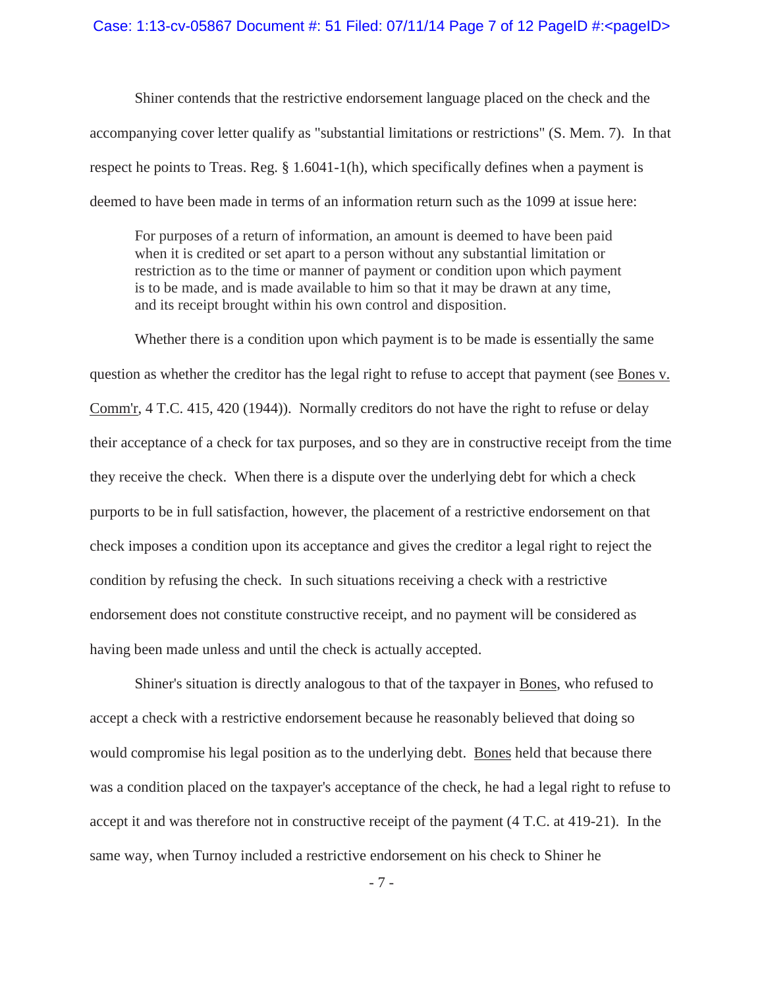#### Case: 1:13-cv-05867 Document #: 51 Filed:  $07/11/14$  Page 7 of 12 PageID #:<pageID>

Shiner contends that the restrictive endorsement language placed on the check and the accompanying cover letter qualify as "substantial limitations or restrictions" (S. Mem. 7). In that respect he points to Treas. Reg. § 1.6041-1(h), which specifically defines when a payment is deemed to have been made in terms of an information return such as the 1099 at issue here:

For purposes of a return of information, an amount is deemed to have been paid when it is credited or set apart to a person without any substantial limitation or restriction as to the time or manner of payment or condition upon which payment is to be made, and is made available to him so that it may be drawn at any time, and its receipt brought within his own control and disposition.

Whether there is a condition upon which payment is to be made is essentially the same question as whether the creditor has the legal right to refuse to accept that payment (see Bones v. Comm'r, 4 T.C. 415, 420 (1944)). Normally creditors do not have the right to refuse or delay their acceptance of a check for tax purposes, and so they are in constructive receipt from the time they receive the check. When there is a dispute over the underlying debt for which a check purports to be in full satisfaction, however, the placement of a restrictive endorsement on that check imposes a condition upon its acceptance and gives the creditor a legal right to reject the condition by refusing the check. In such situations receiving a check with a restrictive endorsement does not constitute constructive receipt, and no payment will be considered as having been made unless and until the check is actually accepted.

Shiner's situation is directly analogous to that of the taxpayer in Bones, who refused to accept a check with a restrictive endorsement because he reasonably believed that doing so would compromise his legal position as to the underlying debt. Bones held that because there was a condition placed on the taxpayer's acceptance of the check, he had a legal right to refuse to accept it and was therefore not in constructive receipt of the payment (4 T.C. at 419-21). In the same way, when Turnoy included a restrictive endorsement on his check to Shiner he

-7-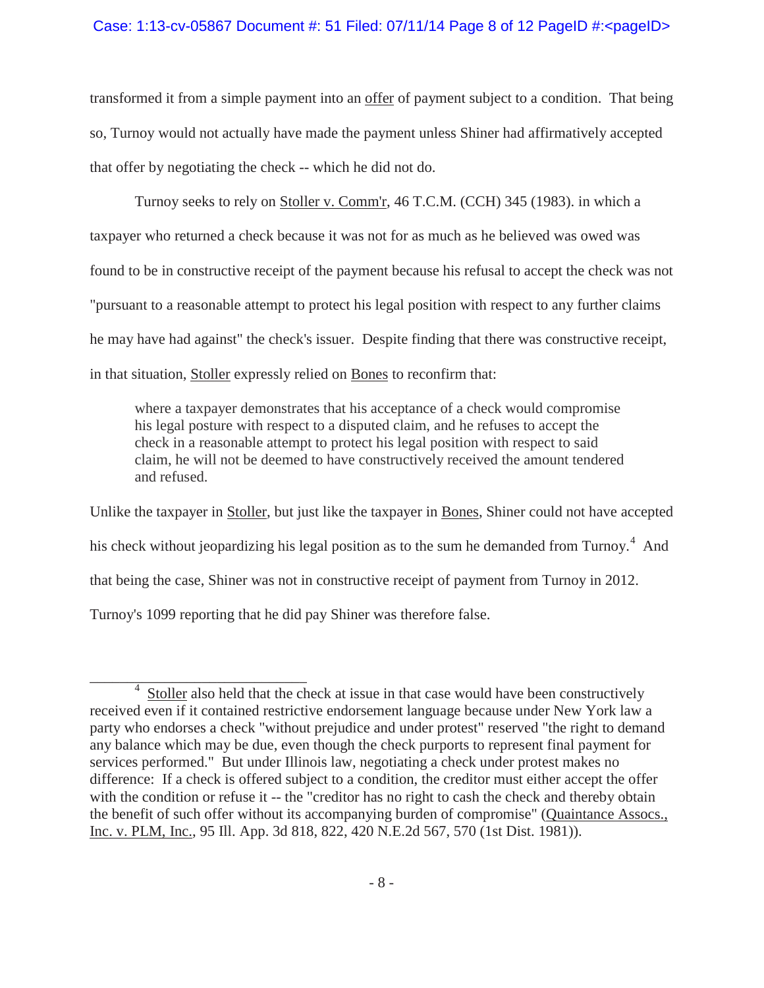# Case: 1:13-cv-05867 Document #: 51 Filed: 07/11/14 Page 8 of 12 PageID #:<pageID>

transformed it from a simple payment into an offer of payment subject to a condition. That being so, Turnoy would not actually have made the payment unless Shiner had affirmatively accepted that offer by negotiating the check -- which he did not do.

Turnoy seeks to rely on Stoller v. Comm'r, 46 T.C.M. (CCH) 345 (1983). in which a taxpayer who returned a check because it was not for as much as he believed was owed was found to be in constructive receipt of the payment because his refusal to accept the check was not "pursuant to a reasonable attempt to protect his legal position with respect to any further claims he may have had against" the check's issuer. Despite finding that there was constructive receipt, in that situation, Stoller expressly relied on Bones to reconfirm that:

where a taxpayer demonstrates that his acceptance of a check would compromise his legal posture with respect to a disputed claim, and he refuses to accept the check in a reasonable attempt to protect his legal position with respect to said claim, he will not be deemed to have constructively received the amount tendered and refused.

Unlike the taxpayer in Stoller, but just like the taxpayer in Bones, Shiner could not have accepted his check without jeopardizing his legal position as to the sum he demanded from Turnoy.<sup>4</sup> And that being the case, Shiner was not in constructive receipt of payment from Turnoy in 2012. Turnoy's 1099 reporting that he did pay Shiner was therefore false.

<sup>&</sup>lt;sup>4</sup> Stoller also held that the check at issue in that case would have been constructively received even if it contained restrictive endorsement language because under New York law a party who endorses a check "without prejudice and under protest" reserved "the right to demand any balance which may be due, even though the check purports to represent final payment for services performed." But under Illinois law, negotiating a check under protest makes no difference: If a check is offered subject to a condition, the creditor must either accept the offer with the condition or refuse it -- the "creditor has no right to cash the check and thereby obtain the benefit of such offer without its accompanying burden of compromise" (Quaintance Assocs., Inc. v. PLM, Inc., 95 Ill. App. 3d 818, 822, 420 N.E.2d 567, 570 (1st Dist. 1981)).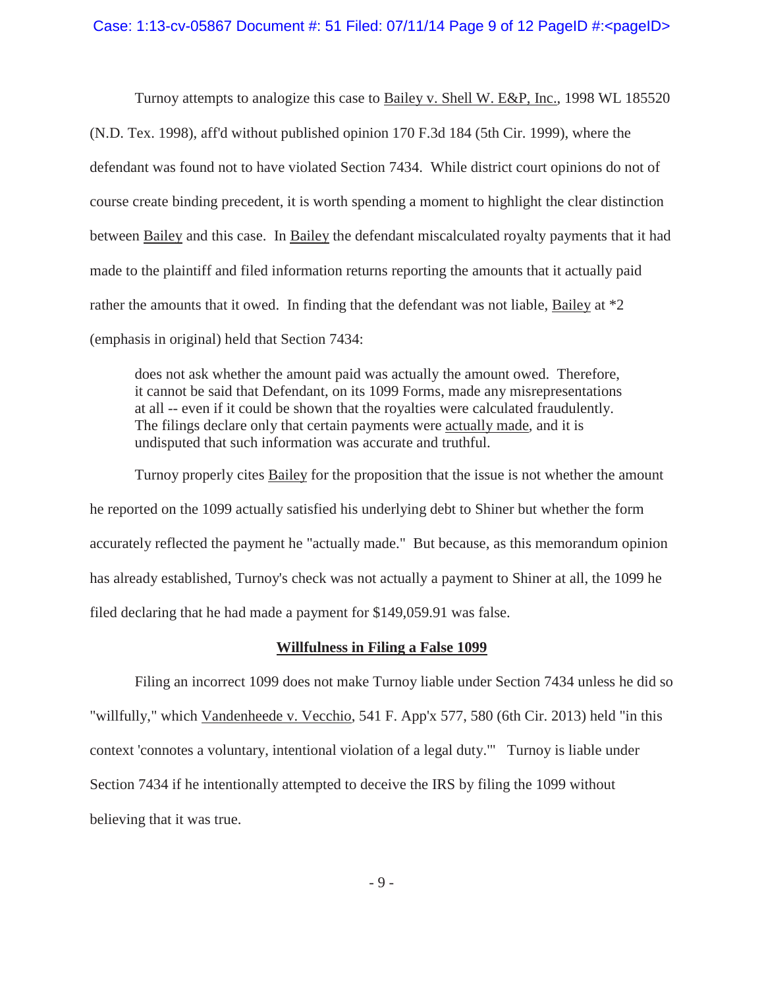### Case: 1:13-cv-05867 Document #: 51 Filed: 07/11/14 Page 9 of 12 PageID #:<pageID>

Turnoy attempts to analogize this case to Bailey v. Shell W. E&P, Inc., 1998 WL 185520 (N.D. Tex. 1998), aff'd without published opinion 170 F.3d 184 (5th Cir. 1999), where the defendant was found not to have violated Section 7434. While district court opinions do not of course create binding precedent, it is worth spending a moment to highlight the clear distinction between Bailey and this case. In Bailey the defendant miscalculated royalty payments that it had made to the plaintiff and filed information returns reporting the amounts that it actually paid rather the amounts that it owed. In finding that the defendant was not liable, Bailey at \*2 (emphasis in original) held that Section 7434:

does not ask whether the amount paid was actually the amount owed. Therefore, it cannot be said that Defendant, on its 1099 Forms, made any misrepresentations at all -- even if it could be shown that the royalties were calculated fraudulently. The filings declare only that certain payments were actually made*,* and it is undisputed that such information was accurate and truthful.

Turnoy properly cites **Bailey** for the proposition that the issue is not whether the amount he reported on the 1099 actually satisfied his underlying debt to Shiner but whether the form accurately reflected the payment he "actually made." But because, as this memorandum opinion has already established, Turnoy's check was not actually a payment to Shiner at all, the 1099 he filed declaring that he had made a payment for \$149,059.91 was false.

## **Willfulness in Filing a False 1099**

Filing an incorrect 1099 does not make Turnoy liable under Section 7434 unless he did so "willfully," which Vandenheede v. Vecchio, 541 F. App'x 577, 580 (6th Cir. 2013) held "in this context 'connotes a voluntary, intentional violation of a legal duty.'" Turnoy is liable under Section 7434 if he intentionally attempted to deceive the IRS by filing the 1099 without believing that it was true.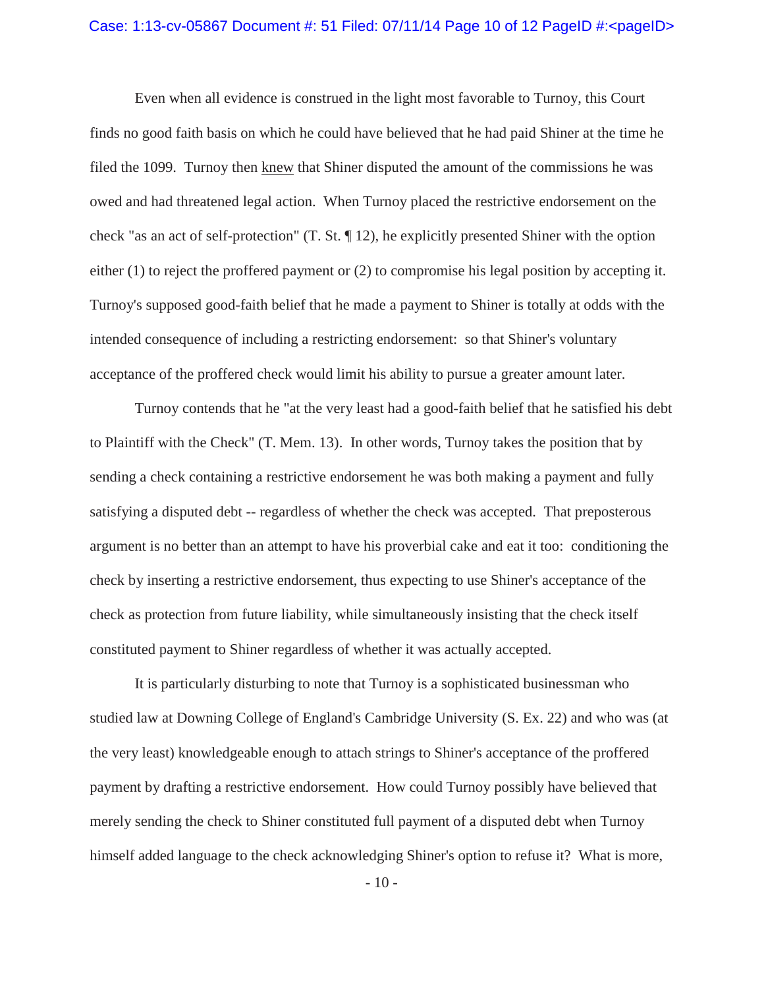## Case: 1:13-cv-05867 Document #: 51 Filed: 07/11/14 Page 10 of 12 PageID #:<pageID>

Even when all evidence is construed in the light most favorable to Turnoy, this Court finds no good faith basis on which he could have believed that he had paid Shiner at the time he filed the 1099. Turnoy then knew that Shiner disputed the amount of the commissions he was owed and had threatened legal action. When Turnoy placed the restrictive endorsement on the check "as an act of self-protection" (T. St. ¶ 12), he explicitly presented Shiner with the option either (1) to reject the proffered payment or (2) to compromise his legal position by accepting it. Turnoy's supposed good-faith belief that he made a payment to Shiner is totally at odds with the intended consequence of including a restricting endorsement: so that Shiner's voluntary acceptance of the proffered check would limit his ability to pursue a greater amount later.

Turnoy contends that he "at the very least had a good-faith belief that he satisfied his debt to Plaintiff with the Check" (T. Mem. 13). In other words, Turnoy takes the position that by sending a check containing a restrictive endorsement he was both making a payment and fully satisfying a disputed debt -- regardless of whether the check was accepted. That preposterous argument is no better than an attempt to have his proverbial cake and eat it too: conditioning the check by inserting a restrictive endorsement, thus expecting to use Shiner's acceptance of the check as protection from future liability, while simultaneously insisting that the check itself constituted payment to Shiner regardless of whether it was actually accepted.

It is particularly disturbing to note that Turnoy is a sophisticated businessman who studied law at Downing College of England's Cambridge University (S. Ex. 22) and who was (at the very least) knowledgeable enough to attach strings to Shiner's acceptance of the proffered payment by drafting a restrictive endorsement. How could Turnoy possibly have believed that merely sending the check to Shiner constituted full payment of a disputed debt when Turnoy himself added language to the check acknowledging Shiner's option to refuse it? What is more,

- 10 -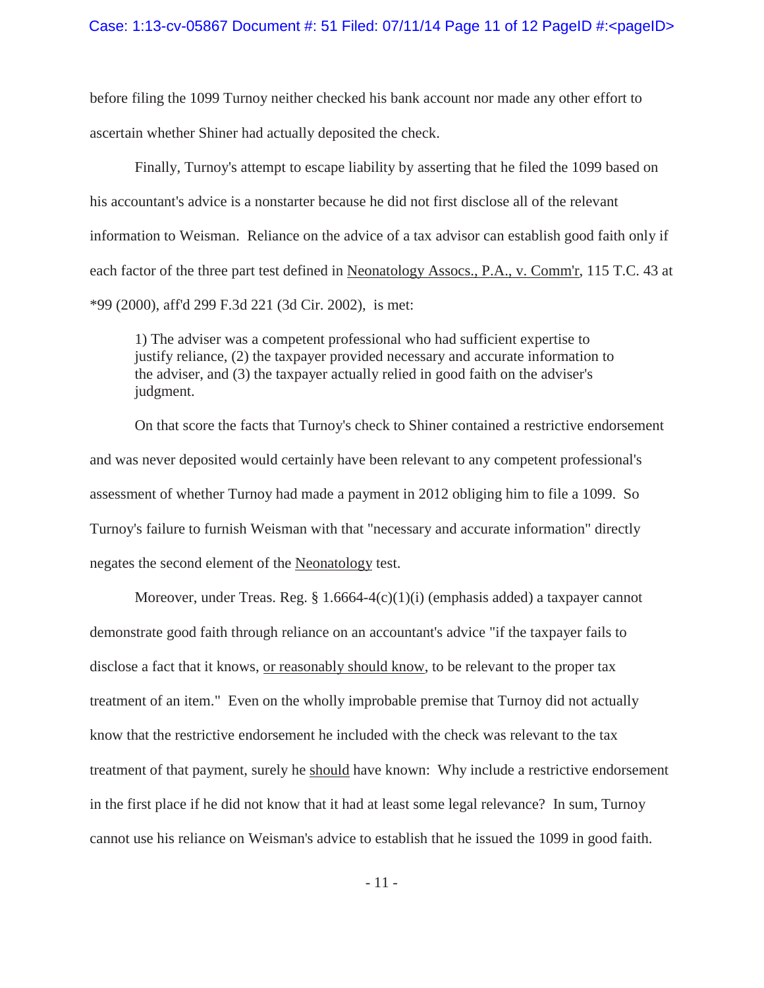before filing the 1099 Turnoy neither checked his bank account nor made any other effort to ascertain whether Shiner had actually deposited the check.

Finally, Turnoy's attempt to escape liability by asserting that he filed the 1099 based on his accountant's advice is a nonstarter because he did not first disclose all of the relevant information to Weisman. Reliance on the advice of a tax advisor can establish good faith only if each factor of the three part test defined in Neonatology Assocs., P.A., v. Comm'r, 115 T.C. 43 at \*99 (2000), aff'd 299 F.3d 221 (3d Cir. 2002), is met:

1) The adviser was a competent professional who had sufficient expertise to justify reliance, (2) the taxpayer provided necessary and accurate information to the adviser, and (3) the taxpayer actually relied in good faith on the adviser's judgment.

On that score the facts that Turnoy's check to Shiner contained a restrictive endorsement and was never deposited would certainly have been relevant to any competent professional's assessment of whether Turnoy had made a payment in 2012 obliging him to file a 1099. So Turnoy's failure to furnish Weisman with that "necessary and accurate information" directly negates the second element of the Neonatology test.

Moreover, under Treas. Reg.  $\S 1.6664-4(c)(1)(i)$  (emphasis added) a taxpayer cannot demonstrate good faith through reliance on an accountant's advice "if the taxpayer fails to disclose a fact that it knows, or reasonably should know, to be relevant to the proper tax treatment of an item." Even on the wholly improbable premise that Turnoy did not actually know that the restrictive endorsement he included with the check was relevant to the tax treatment of that payment, surely he should have known: Why include a restrictive endorsement in the first place if he did not know that it had at least some legal relevance? In sum, Turnoy cannot use his reliance on Weisman's advice to establish that he issued the 1099 in good faith.